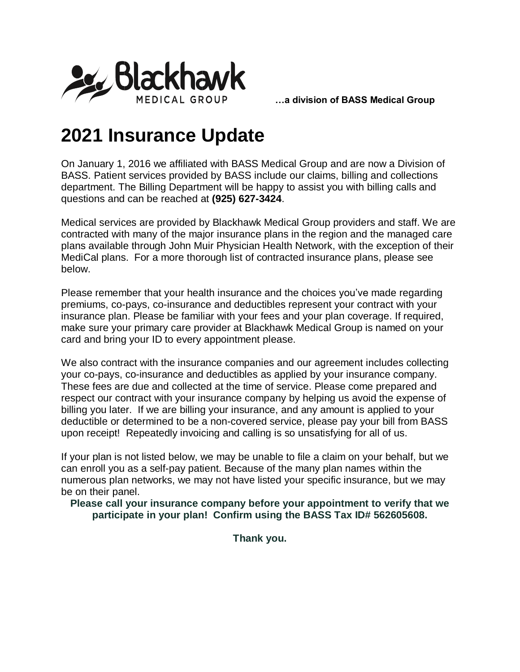

## **2021 Insurance Update**

On January 1, 2016 we affiliated with BASS Medical Group and are now a Division of BASS. Patient services provided by BASS include our claims, billing and collections department. The Billing Department will be happy to assist you with billing calls and questions and can be reached at **(925) 627-3424**.

Medical services are provided by Blackhawk Medical Group providers and staff. We are contracted with many of the major insurance plans in the region and the managed care plans available through John Muir Physician Health Network, with the exception of their MediCal plans. For a more thorough list of contracted insurance plans, please see below.

Please remember that your health insurance and the choices you've made regarding premiums, co-pays, co-insurance and deductibles represent your contract with your insurance plan. Please be familiar with your fees and your plan coverage. If required, make sure your primary care provider at Blackhawk Medical Group is named on your card and bring your ID to every appointment please.

We also contract with the insurance companies and our agreement includes collecting your co-pays, co-insurance and deductibles as applied by your insurance company. These fees are due and collected at the time of service. Please come prepared and respect our contract with your insurance company by helping us avoid the expense of billing you later. If we are billing your insurance, and any amount is applied to your deductible or determined to be a non-covered service, please pay your bill from BASS upon receipt! Repeatedly invoicing and calling is so unsatisfying for all of us.

If your plan is not listed below, we may be unable to file a claim on your behalf, but we can enroll you as a self-pay patient. Because of the many plan names within the numerous plan networks, we may not have listed your specific insurance, but we may be on their panel.

**Please call your insurance company before your appointment to verify that we participate in your plan! Confirm using the BASS Tax ID# 562605608.**

**Thank you.**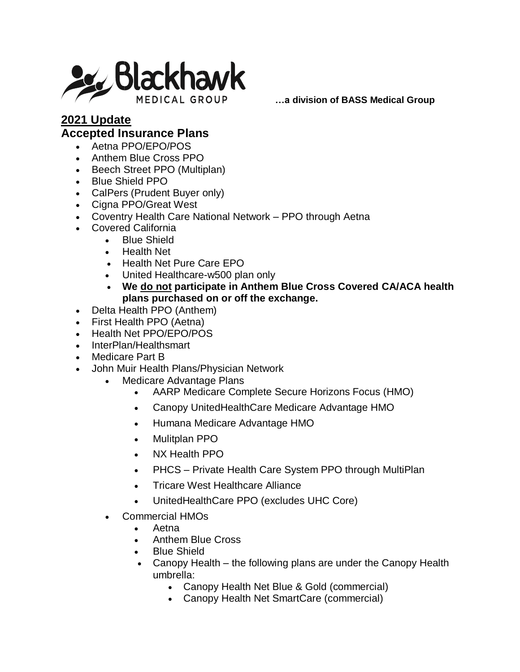

## **2021 Update Accepted Insurance Plans**

- Aetna PPO/EPO/POS
- Anthem Blue Cross PPO
- Beech Street PPO (Multiplan)
- Blue Shield PPO
- CalPers (Prudent Buyer only)
- Cigna PPO/Great West
- Coventry Health Care National Network PPO through Aetna
- Covered California
	- Blue Shield
	- Health Net
	- Health Net Pure Care EPO
	- United Healthcare-w500 plan only
	- **We do not participate in Anthem Blue Cross Covered CA/ACA health plans purchased on or off the exchange.**
- Delta Health PPO (Anthem)
- First Health PPO (Aetna)
- Health Net PPO/EPO/POS
- InterPlan/Healthsmart
- Medicare Part B
- John Muir Health Plans/Physician Network
	- Medicare Advantage Plans
		- AARP Medicare Complete Secure Horizons Focus (HMO)
		- Canopy UnitedHealthCare Medicare Advantage HMO
		- Humana Medicare Advantage HMO
		- Mulitplan PPO
		- NX Health PPO
		- PHCS Private Health Care System PPO through MultiPlan
		- Tricare West Healthcare Alliance
		- UnitedHealthCare PPO (excludes UHC Core)
	- Commercial HMOs
		- Aetna
		- Anthem Blue Cross
		- Blue Shield
		- Canopy Health the following plans are under the Canopy Health umbrella:
			- Canopy Health Net Blue & Gold (commercial)
			- Canopy Health Net SmartCare (commercial)